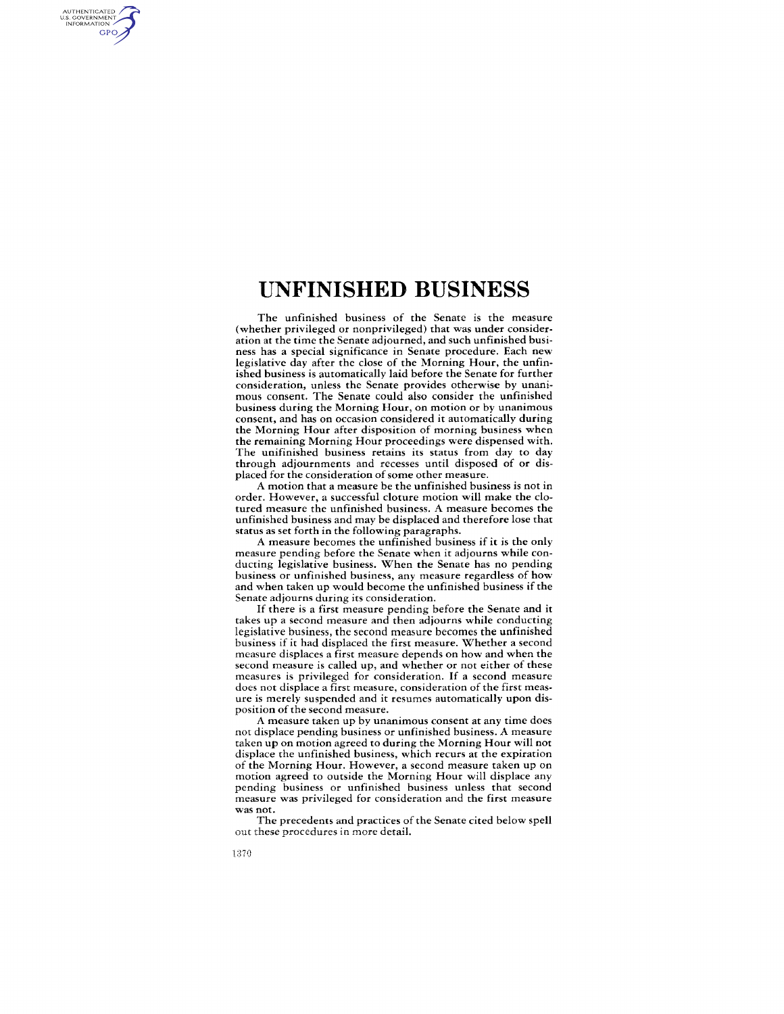# **UNFINISHED BUSINESS**

The unfinished business of the Senate is the measure (whether privileged or nonprivileged) that was under consideration at the time the Senate adjourned, and such unfinished business has a special significance in Senate procedure. Each new legislative day after the close of the Morning Hour, the unfinished business is automatically laid before the Senate for further consideration, unless the Senate provides otherwise by unanimous consent. The Senate could also consider the unfinished business during the Morning Hour, on motion or by unanimous consent, and has on occasion considered it automatically during the Morning Hour after disposition of morning business when the remaining Morning Hour proceedings were dispensed with. The unifinished business retains its status from day to day through adjournments and recesses until disposed of or displaced for the consideration of some other measure.

A motion that a measure be the unfinished business is not in order. However, a successful cloture motion will make the clotured measure the unfinished business. A measure becomes the unfinished business and may be displaced and therefore lose that status as set forth in the following paragraphs.

A measure becomes the unfinished business if it is the only measure pending before the Senate when it adjourns while conducting legislative business. When the Senate has no pending business or unfinished business, any measure regardless of how and when taken up would become the unfinished business if the Senate adjourns during its consideration.

If there is a first measure pending before the Senate and it takes up a second measure and then adjourns while conducting legislative business, the second measure becomes the unfinished business if it had displaced the first measure. Whether a second measure displaces a first measure depends on how and when the second measure is called up, and whether or not either of these measures is privileged for consideration. If a second measure does not displace a first measure, consideration of the first measure is merely suspended and it resumes automatically upon disposition of the second measure.

A measure taken up by unanimous consent at any time does not displace pending business or unfinished business. A measure taken up on motion agreed to during the Morning Hour will not displace the unfinished business, which recurs at the expiration of the Morning Hour. However, a second measure taken up on motion agreed to outside the Morning Hour will displace any pending business or unfinished business unless that second measure was privileged for consideration and the first measure was not.

The precedents and practices of the Senate cited below spell out these procedures in more detail.

AUTHENTICATED<br>U.S. GOVERNMENT<br>INFORMATION **GPO**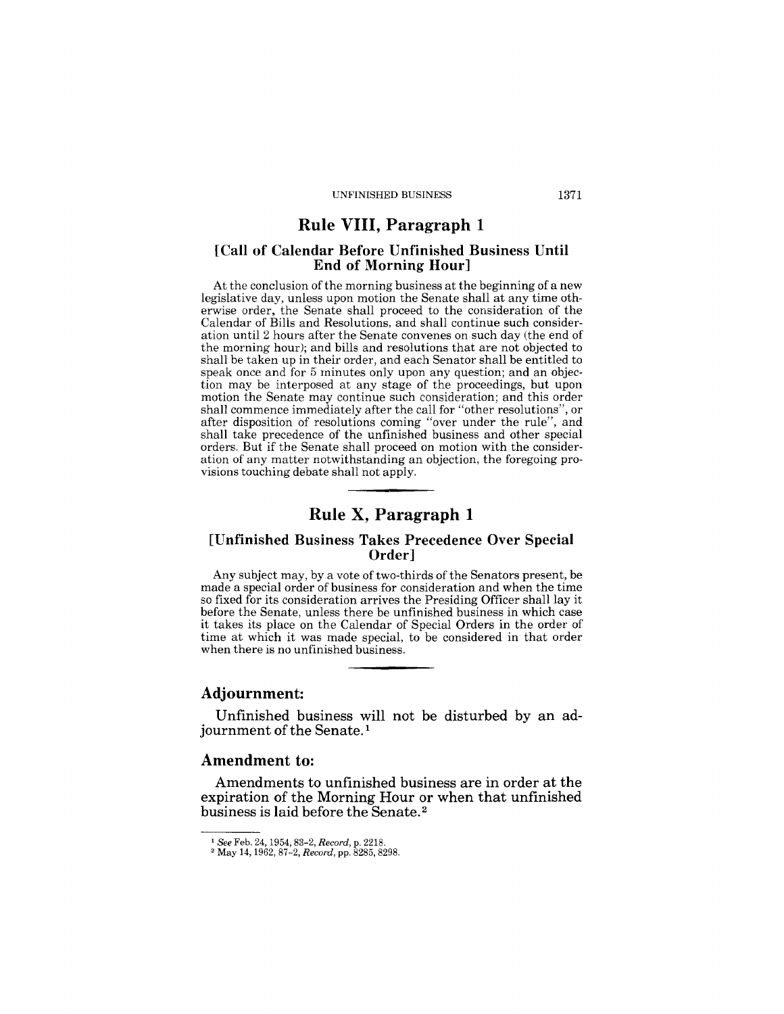# Rule VIII, Paragraph 1

#### [Call of Calendar Before Unfinished Business Until End of Morning Hour]

At the conclusion of the morning business at the beginning of a new legislative day, unless upon motion the Senate shall at any time otherwise order, the Senate shall proceed to the consideration of the Calendar of Bills and Resolutions, and shall continue such consideration until 2 hours after the Senate convenes on such day (the end of the morning hour); and bills and resolutions that are not objected to shall be taken up in their order, and each Senator shall be entitled to speak once and for 5 minutes only upon any question; and an objection may be interposed at any stage of the proceedings, but upon motion the Senate may continue such consideration; and this order shall commence immediately after the call for "other resolutions", or after disposition of resolutions coming "over under the rule", and shall take precedence of the unfinished business and other special orders. But if the Senate shall proceed on motion with the consideration of any matter notwithstanding an objection, the foregoing provisions touching debate shall not apply.

# Rule X, Paragraph 1

#### [Unfinished Business Takes Precedence Over Special Order]

Any subject may, by a vote of two-thirds of the Senators present, be made a special order of business for consideration and when the time so fixed for its consideration arrives the Presiding Officer shall lay it before the Senate, unless there be unfinished business in which case it takes its place on the Calendar of Special Orders in the order of time at which it was made special, to be considered in that order when there is no unfinished business.

#### Adjournment:

Unfinished business will not be disturbed by an adjournment of the Senate.<sup>1</sup>

## Amendment to:

Amendments to unfinished business are in order at the expiration of the Morning Hour or when that unfinished business is laid before the Senate. 2

<sup>1</sup> *See* Feb. 24, 1954,83-2, *Record,* p. 2218.

<sup>2</sup> May 14, 1962, 87-2, *Record,* pp. 8285, 8298.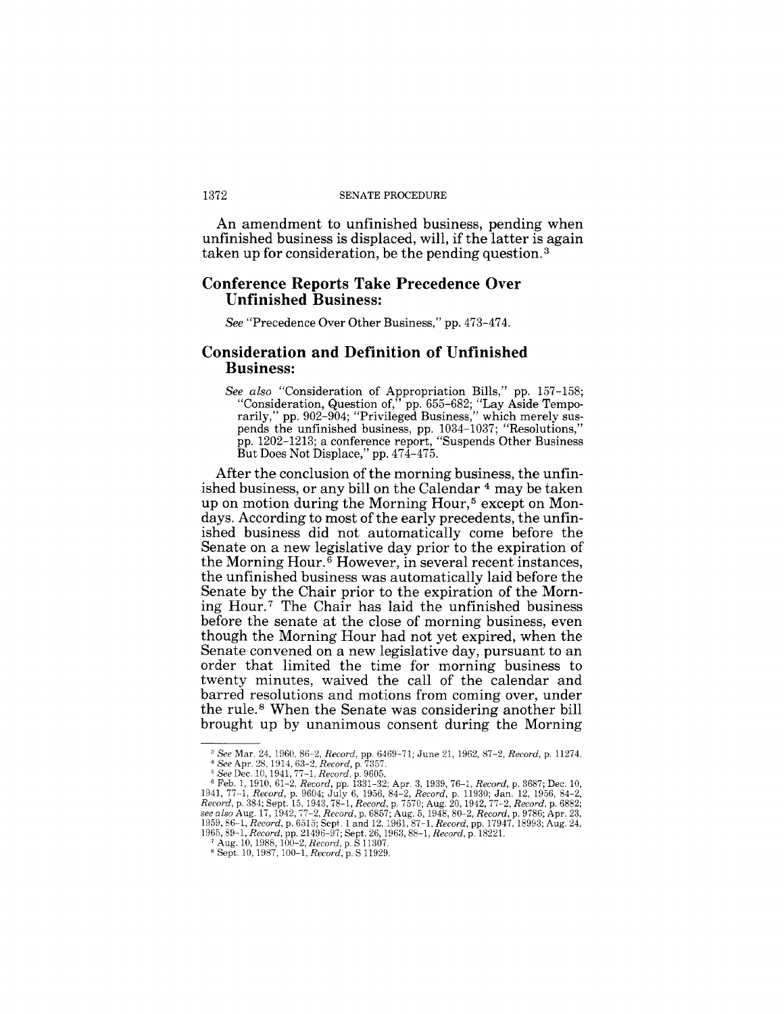#### 1372 SENATE PROCEDURE

An amendment to unfinished business, pending when unfinished business is displaced, will, if the latter is again taken up for consideration, be the pending question. 3

# **Conference Reports Take Precedence Over Unfinished Business:**

*See* "Precedence Over Other Business," pp. 473-474.

## **Consideration and Definition of Unfinished Business:**

*See also* "Consideration of Appropriation Bills," pp. 157-158; "Consideration, Question of," pp. 655-682; "Lay Aside Temporarily," pp. 902-904; "Privileged Business," which merely suspends the unfinished business, pp. 1034-1037; "Resolutions," pp. 1202-1213; a conference report, "Suspends Other Business But Does Not Displace," pp. 474-475.

After the conclusion of the morning business, the unfinished business, or any bill on the Calendar<sup>4</sup> may be taken up on motion during the Morning Hour,<sup>5</sup> except on Mondays. According to most of the early precedents, the unfinished business did not automatically come before the Senate on a new legislative day prior to the expiration of the Morning Hour.6 However, in several recent instances, the unfinished business was automatically laid before the Senate by the Chair prior to the expiration of the Morning Hour.<sup>7</sup> The Chair has laid the unfinished business before the senate at the close of morning business, even though the Morning Hour had not yet expired, when the Senate convened on a new legislative day, pursuant to an order that limited the time for morning business to twenty minutes, waived the call of the calendar and barred resolutions and motions from coming over, under the rule. 8 When the Senate was considering another bill brought up by unanimous consent during the Morning

<sup>3</sup>*See* Mar. 24. 1960, 86-2, *Record,* pp. 6469-71; June 21,1962,87-2, *Record,* p. 11274.

<sup>&</sup>lt;sup>4</sup> See Apr. 28, 1914, 63-2, Record, p. 7357.<br>
<sup>5</sup> See Dec. 10, 1941, 77-1, Record, p. 9605.<br>
<sup>8</sup> Feb. 1, 1910, 61-2, Record, pp. 1331-32; Apr. 3, 1939, 76-1, Record, p. 3687; Dec. 10,<br>
<sup>8</sup> Feb. 1, 1910, 61-2, Record, pp.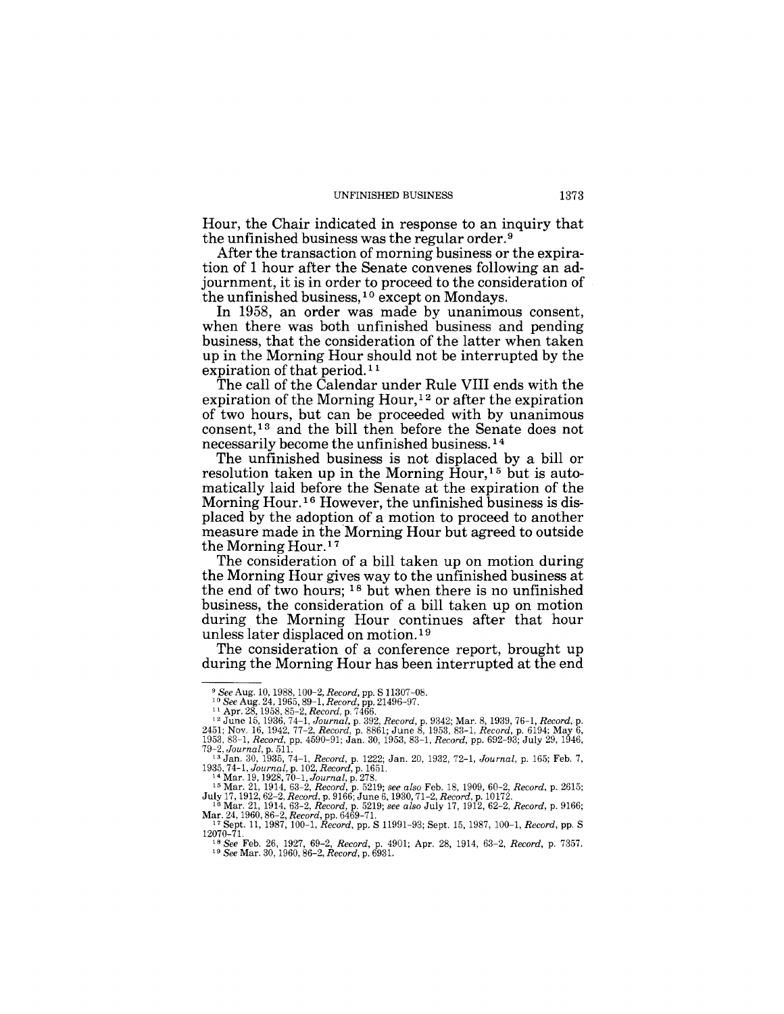Hour, the Chair indicated in response to an inquiry that the unfinished business was the regular order. 9

After the transaction of morning business or the expiration of 1 hour after the Senate convenes following an adjournment, it is in order to proceed to the consideration of the unfinished business,  $10$  except on Mondays.

In 1958, an order was made by unanimous consent, when there was both unfinished business and pending business, that the consideration of the latter when taken up in the Morning Hour should not be interrupted by the expiration of that period.<sup>11</sup>

The call of the Calendar under Rule VIII ends with the expiration of the Morning Hour,  $12$  or after the expiration of two hours, but can be proceeded with by unanimous consent,13 and the bill then before the Senate does not necessarily become the unfinished business. 14

The unfinished business is not displaced by a bill or resolution taken up in the Morning  $\tilde{H}$ our,<sup>15</sup> but is automatically laid before the Senate at the expiration of the Morning Hour.16 However, the unfinished business is displaced by the adoption of a motion to proceed to another measure made in the Morning Hour but agreed to outside the Morning Hour.17

The consideration of a bill taken up on motion during the Morning Hour gives way to the unfinished business at the end of two hours; 18 but when there is no unfinished business, the consideration of a bill taken up on motion during the Morning Hour continues after that hour unless later displaced on motion. 19

The consideration of a conference report, brought up during the Morning Hour has been interrupted at the end

<sup>&</sup>lt;sup>9</sup> See Aug. 10, 1988, 100-2, Record, pp. S 11307-08.<br><sup>10</sup> See Aug. 24, 1965, 89-1, Record, pp. 21496-97.<br><sup>11</sup> Apr. 28, 1958, 85-2, Record, pp. 7466.<br><sup>12</sup> June 15, 1936, 74-1, Journal, p. 392, Record, p. 9342; Mar. 8, 1939

<sup>79–2,</sup> Journal, p. 511.<br>
<sup>13</sup> Jan. 30, 1935, 74–1, Record, p. 1222; Jan. 20, 1932, 72–1, Journal, p. 165; Feb. 7,<br>
1935, 74–1, Journal, p. 102, Record, p. 1651.<br>
<sup>14</sup> Mar. 19, 1928, 70–1, Journal, p. 278.<br>
<sup>15</sup> Mar. 21, 19

July 17,1912,62-2, *Record,* p. 9166; June 6,1930, 71-2, *Record,* p. 10172. 16 Mar. 21, 1914,63-2, *Record,* p. 5219; *see also* July 17, 1912,62-2, *Record,* p. 9166;

Mar. 24, 1960, 86-2, *Record,* pp. 6469-71. 17 Sept. 11, 1987, 100-1, *Record,* pp. S 11991-93; Sept. 15,1987,100-1, *Record,* pp. S

<sup>12070-71.</sup> 

<sup>18</sup>*See* Feb. 26, 1927, 69-2, *Record,* p. 4901; Apr. 28, 1914, 63-2, *Record,* p. 7357. 19 *See* Mar. 30,1960,86-2, *Record,* p. 6931.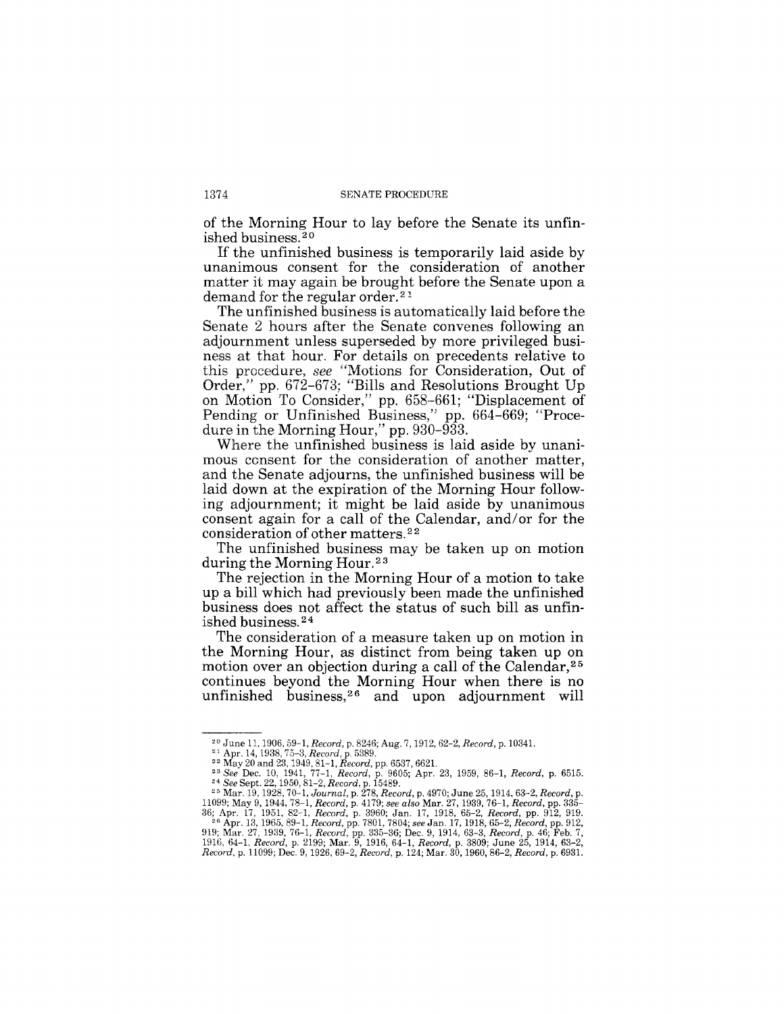of the Morning Hour to lay before the Senate its unfinished business.<sup>20</sup>

If the unfinished business is temporarily laid aside by unanimous consent for the consideration of another matter it may again be brought before the Senate upon a demand for the regular order.<sup>21</sup>

The unfinished business is automatically laid before the Senate 2 hours after the Senate convenes following an adjournment unless superseded by more privileged business at that hour. For details on precedents relative to this procedure, *see* "Motions for Consideration, Out of Order," pp. 672-673; "Bills and Resolutions Brought Up on Motion To Consider," pp. 658-661; "Displacement of Pending or Unfinished Business," pp. 664-669; "Procedure in the Morning Hour," pp. 930-933.

Where the unfinished business is laid aside by unanimous consent for the consideration of another matter, and the Senate adjourns, the unfinished business will be laid down at the expiration of the Morning Hour following adjournment; it might be laid aside by unanimous consent again for a call of the Calendar, and/or for the consideration of other matters.<sup>22</sup>

The unfinished business may be taken up on motion during the Morning Hour.<sup>23</sup>

The rejection in the Morning Hour of a motion to take up a bill which had previously been made the unfinished business does not affect the status of such bill as unfinished business.<sup>24</sup>

The consideration of a measure taken up on motion in the Morning Hour, as distinct from being taken up on motion over an objection during a call of the Calendar,<sup>25</sup> continues beyond the Morning Hour when there is no unfinished business,<sup>26</sup> and upon adjournment will

<sup>20</sup> June 11, 1906, 59-1, *Record,* p. 8246; Aug. 7, 1912, 62-2, *Record,* p. 10341.

<sup>&</sup>lt;sup>21</sup> Apr. 14, 1938, 75–3, *Record*, p. 5389.<br><sup>22</sup> May 20 and 23, 1949, 81–1, *Record,* pp. 6537, 6621.

*<sup>23</sup> See* Dec. 10, 1941, 77-1, *Record,* p. 9605; Apr. 23, 1959, 86-1, *Record,* p. 6515. *24 See* Sept. 22, 1950, 81-2, *Record,* p. 15489.

<sup>&</sup>lt;sup>25</sup> Mar. 19, 1928, 70-1, *Journal*, p. 278, *Record*, p. 4970; June 25, 1914, 63-2, *Record*, p. 11099; May 9, 1944, 78-1, *Record*, p. 4179; *see also* Mar. 27, 1939, 76-1, *Record*, pp. 335-36; Apr. 17, 1951, 82-1, *Re*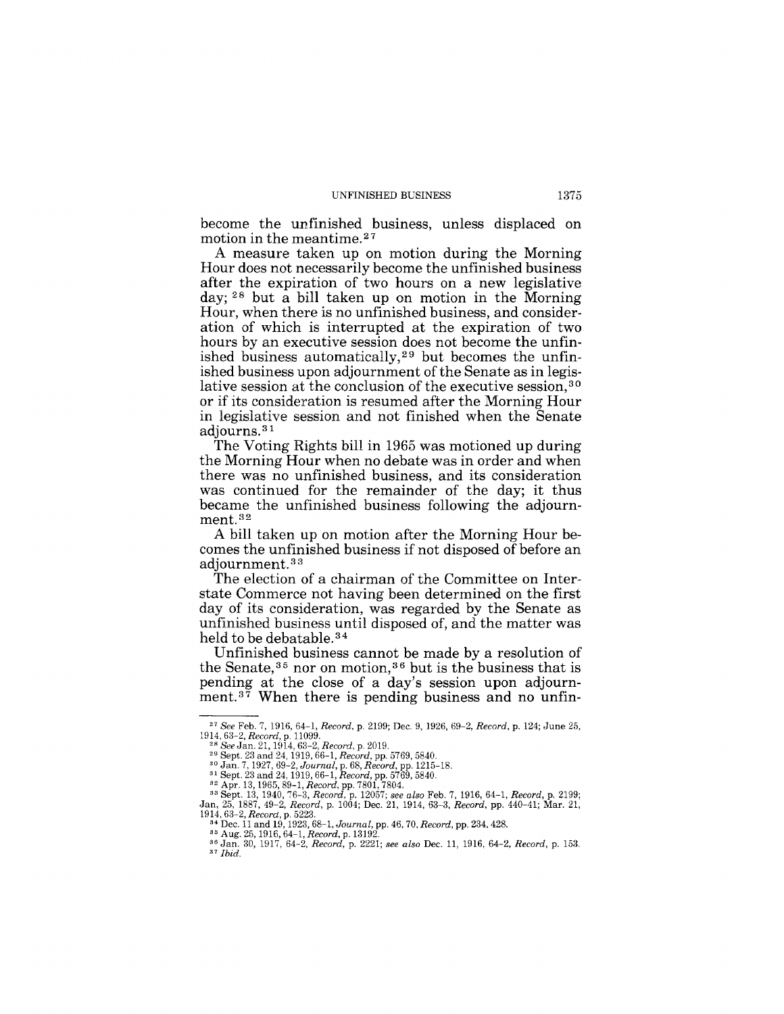become the unfinished business, unless displaced on motion in the meantime. 27

A measure taken up on motion during the Morning Hour does not necessarily become the unfinished business after the expiration of two hours on a new legislative day; 28 but a bill taken up on motion in the Morning Hour, when there is no unfinished business, and consideration of which is interrupted at the expiration of two hours by an executive session does not become the unfinished business automatically,<sup>29</sup> but becomes the unfinished business upon adjournment of the Senate as in legislative session at the conclusion of the executive session,<sup>30</sup> or if its consideration is resumed after the Morning Hour in legislative session and not finished when the Senate adjourns. 31

The Voting Rights bill in 1965 was motioned up during the Morning Hour when no debate was in order and when there was no unfinished business, and its consideration was continued for the remainder of the day; it thus became the unfinished business following the adjournment. 32

A bill taken up on motion after the Morning Hour becomes the unfinished business if not disposed of before an adjournment. 33

The election of a chairman of the Committee on Interstate Commerce not having been determined on the first day of its consideration, was regarded by the Senate as unfinished business until disposed of, and the matter was held to be debatable.<sup>34</sup>

Unfinished business cannot be made by a resolution of the Senate,  $35$  nor on motion,  $36$  but is the business that is pending at the close of a day's session upon adjournment.<sup>37</sup> When there is pending business and no unfin-

<sup>27</sup>*See* Feb. 7, 1916,64-1, *Record,* p. 2199; Dec. 9, 1926, 69-2, *Record,* p. 124; June 25, *1914,63-2, Record,* p. 11099. *28 See* Jan. 21, 1914, 63-2, *Record,* p. 2019.

<sup>&</sup>lt;sup>29</sup> Sept. 23 and 24, 1919, 66-1, Record, pp. 5769, 5840.<br><sup>30</sup> Jan. 7, 1927, 69-2, Journal, p. 68, Record, pp. 1215-18.<br><sup>31</sup> Sept. 23 and 24, 1919, 66-1, Record, pp. 5769, 5840.<br><sup>32</sup> Apr. 13, 1965, 89-1, Record, pp. 7801, *1914,63-2, Record,* p. 5223. 34 Dec. 11 and 19, 1923, 68-1, *Journal,* pp. 46, 70, *Record,* pp. 234, 428. 35 Aug. 25, 1916, 64-1, *Record,* p. 13192.

<sup>36</sup> Jan. 30, 1917, 64-2, *Record,* p. 2221; *see also* Dec. 11, 1916, 64-2, *Record,* p. 153. *37 Ibid.*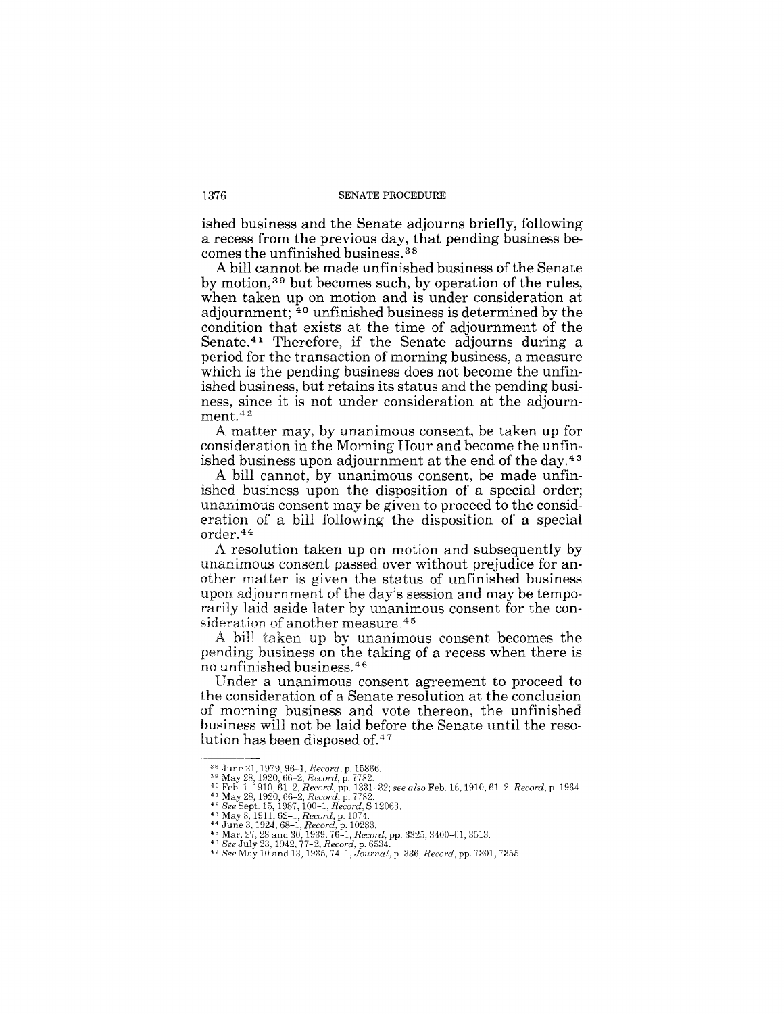ished business and the Senate adjourns briefly, following a recess from the previous day, that pending business becomes the unfinished business. 38

A bill cannot be made unfinished business of the Senate by motion,39 but becomes such, by operation of the rules, when taken up on motion and is under consideration at adjournment; 40 unfinished business is determined by the condition that exists at the time of adjournment of the Senate. 41 Therefore, if the Senate adjourns during a period for the transaction of morning business, a measure which is the pending business does not become the unfinished business, but retains its status and the pending business, since it is not under consideration at the adjournment.<sup>42</sup>

A matter may, by unanimous consent, be taken up for consideration in the Morning Hour and become the unfinished business upon adjournment at the end of the day.43

A bill cannot, by unanimous consent, be made unfinished business upon the disposition of a special order; unanimous consent may be given to proceed to the consideration of a bill following the disposition of a special order.44

A resolution taken up on motion and subsequently by unanimous consent passed over without prejudice for another matter is given the status of unfinished business upon adjournment of the day's session and may be temporarily laid aside later by unanimous consent for the consideration of another measure.<sup>45</sup>

A bill taken up by unanimous consent becomes the pending business on the taking of a recess when there is no unfinished business. <sup>46</sup>

Under a unanimous consent agreement to proceed to the consideration of a Senate resolution at the conclusion of morning business and vote thereon, the unfinished business will not be laid before the Senate until the resolution has been disposed of.47

<sup>&</sup>lt;sup>38</sup> June 21, 1979, 96–1, *Record,* p. 15866.<br><sup>39</sup> May 28, 1920, 66–2, *Record,* p. 7782.<br><sup>40</sup> Feb. 1, 1910, 61–2, *Record,* pp. 1331–32; *see also Feb. 16, 1910, 61–2, Record, p. 1964.*<br><sup>41</sup> May 28, 1920, 66–2, *Record,*

<sup>&</sup>lt;sup>42</sup> See Sept. 15, 1987, 100-1, Record, S 12063.<br><sup>43</sup> May 8, 1911, 62–1, Record, p. 1074.<br><sup>44</sup> June 3, 1924, 68–1, Record, p. 10283.<br><sup>45</sup> Mar. 27, 28 and 30, 1939, 76–1, Record, pp. 3325, 3400-01, 3513.<br><sup>45</sup> Mar. 27, 28 a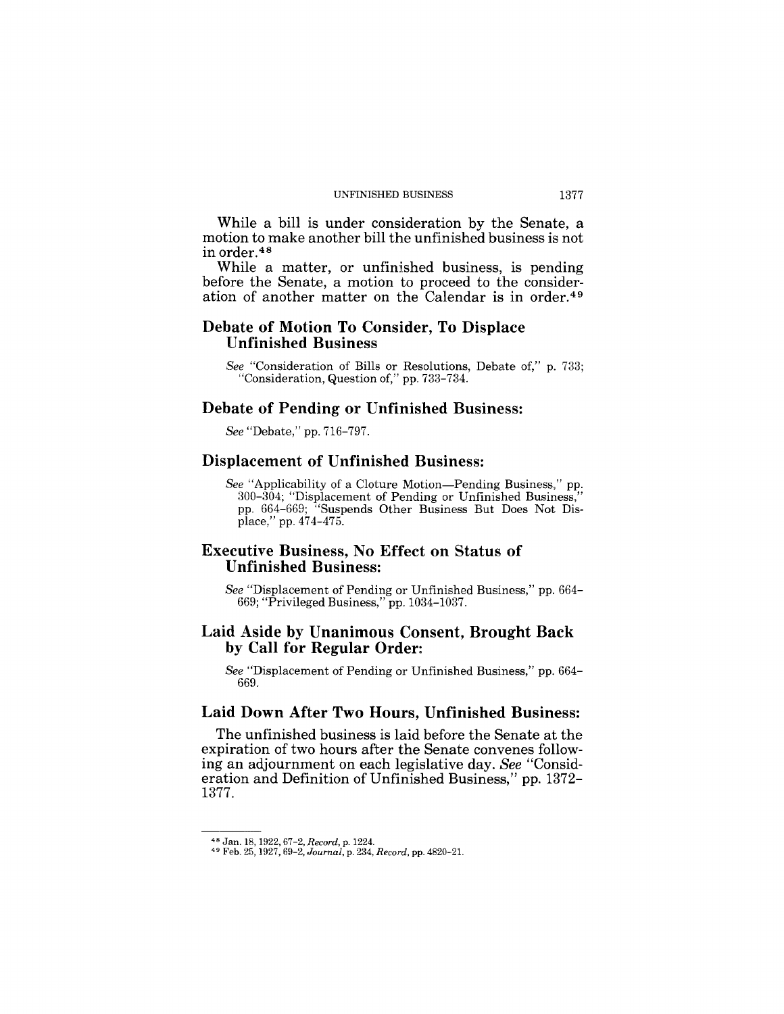#### UNFINISHED BUSINESS 1377

While a bill is under consideration by the Senate, a motion to make another bill the unfinished business is not in order. <sup>48</sup>

While a matter, or unfinished business, is pending before the Senate, a motion to proceed to the consideration of another matter on the Calendar is in order. <sup>49</sup>

## **Debate of Motion To Consider, To Displace Unfinished Business**

*See* "Consideration of Bills or Resolutions, Debate of," p. 733; "Consideration, Question of," pp. 733-734.

#### **Debate of Pending or Unfinished Business:**

*See* "Debate," pp. 716-797.

#### **Displacement of Unfinished Business:**

*See* "Applicability of a Cloture Motion-Pending Business," pp. 300-304; "Displacement of Pending or Unfinished Business," pp. 664-669; "Suspends Other Business But Does Not Displace," pp. 474-475.

## **Executive Business, No Effect on Status of Unfinished Business:**

*See* "Displacement of Pending or Unfinished Business," pp. 664- 669; "Privileged Business," pp.1034-1037.

## **Laid Aside by Unanimous Consent, Brought Back by Call for Regular Order:**

*See* "Displacement of Pending or UnfInished Business," pp. 664- 669.

# **Laid Down After Two Hours, Unfinished Business:**

The unfinished business is laid before the Senate at the expiration of two hours after the Senate convenes following an adjournment on each legislative day. *See* "Consideration and Definition of Unfinished Business," pp. 1372- 1377.

<sup>48</sup> Jan. 18, 1922,67-2, *Record,* p. 1224. 49 Feb. 25, 1927, 69-2, *Journal,* p. 234, *Record,* pp. 4820-21.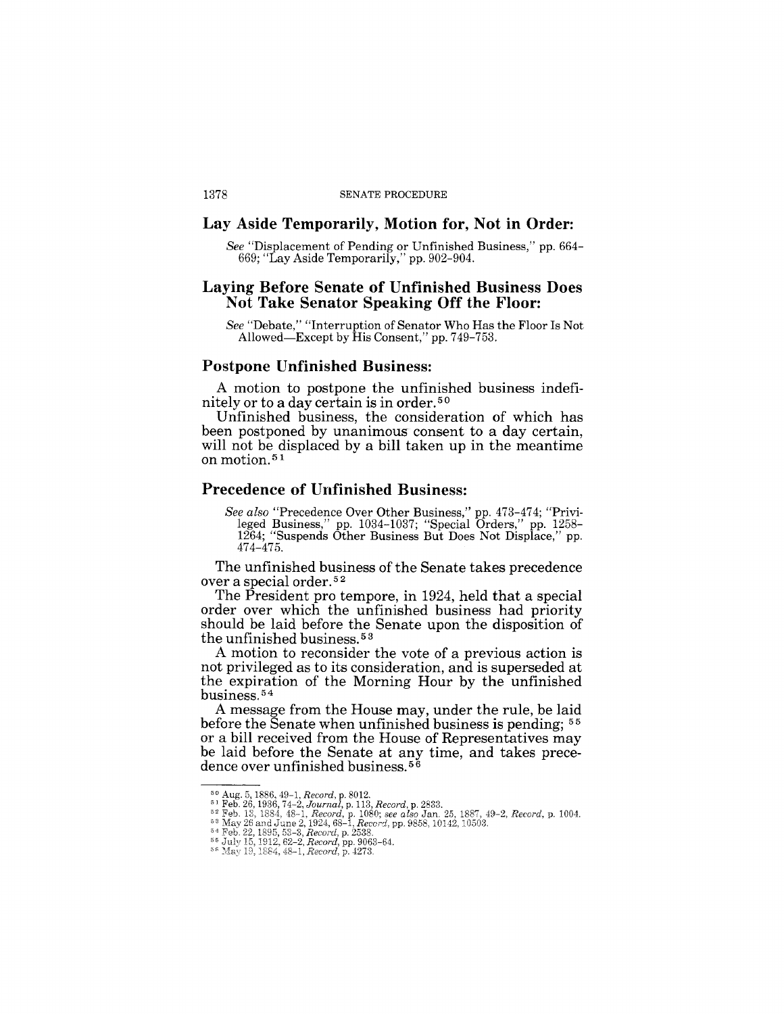#### Lay **Aside Temporarily, Motion for, Not in Order:**

*See* "Displacement of Pending or Unfinished Business," pp. 664- 669; "Lay Aside Temporarily," pp. 902-904.

#### **Laying Before Senate of Unfinished Business Does Not Take Senator Speaking Off the Floor:**

*See* "Debate," "Interruption of Senator Who Has the Floor Is Not Allowed-Except by His Consent," pp. 749-753.

## **Postpone Unfinished Business:**

A motion to postpone the unfinished business indefinitely or to a day certain is in order.50

Unfinished business, the consideration of which has been postponed by unanimous consent to a day certain, will not be displaced by a bill taken up in the meantime on motion. 51

#### **Precedence of Unfinished Business:**

*See also* "Precedence Over Other Business," pp. 473-474; "Privileged Business," pp. 1034-1037; "Special Orders," pp. 1258- 1264; "Suspends Other Business But Does Not Displace," pp. 474-475.

The unfinished business of the Senate takes precedence over a special order. 5 2

The President pro tempore, in 1924, held that a special order over which the unfinished business had priority should be laid before the Senate upon the disposition of the unfinished business. 5 3

A motion to reconsider the vote of a previous action is not privileged as to its consideration, and is superseded at the expiration of the Morning Hour by the unfinished business. 54

A message from the House may, under the rule, be laid before the Senate when unfinished business is pending; <sup>55</sup> or a bill received from the House of Representatives may be laid before the Senate at any time, and takes precedence over unfinished business.<sup>56</sup>

 $^{50}$  Aug. 5, 1886, 49–1, *Record*, p. 8012.<br> $^{51}$  Feb. 26, 1936, 74–2, *Journal*, p. 113, *Record*, p. 2833.<br> $^{52}$  Feb. 13, 1884, 48–1, *Record*, p. 1080; *see also Ja*n. 25,<br> $^{53}$  May 26 and June 2, 1924, 68–1, *Rec Record,* p. 1004.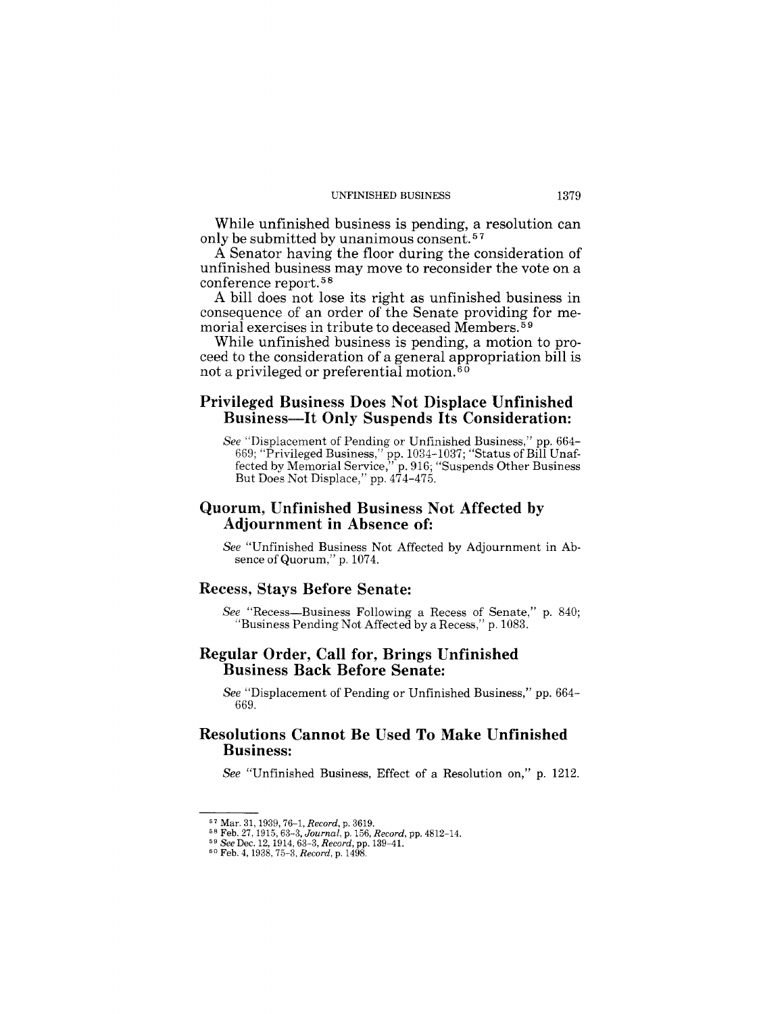#### UNFINISHED BUSINESS 1379

While unfinished business is pending, a resolution can only be submitted by unanimous consent.<sup>57</sup>

A Senator having the floor during the consideration of unfinished business may move to reconsider the vote on a conference report.<sup>58</sup>

A bill does not lose its right as unfinished business in consequence of an order of the Senate providing for memorial exercises in tribute to deceased Members. 59

While unfinished business is pending, a motion to proceed to the consideration of a general appropriation bill is not a privileged or preferential motion. 60

## Privileged Business Does Not Displace Unfinished Business-It Only Suspends Its Consideration:

*See* "Displacement of Pending or Unfinished Business," pp. 664- 669; "Privileged Business," pp. 1034-1037; "Status of Bill Unaffected by Memorial Service," p. 916; "Suspends Other Business But Does Not Displace," pp. 474-475.

## Quorum, Unfinished Business Not Affected by Adjournment in Absence of:

*See* "Unfinished Business Not Affected by Adjournment in Absence of Quorum," p. 1074.

#### Recess, Stays Before Senate:

*See* "Recess-Business Following a Recess of Senate," p. 840; "Business Pending Not Affected by a Recess," p. 1083.

### Regular Order, Call for, Brings Unfinished Business Back Before Senate:

*See* "Displacement of Pending or Unfinished Business," pp. 664- 669.

# Resolutions Cannot Be Used To Make Unfinished Business:

*See* "Unfinished Business, Effect of a Resolution on," p. 1212.

<sup>&</sup>lt;sup>57</sup> Mar. 31, 1939, 76–1, *Record*, p. 3619,<br><sup>58</sup> Feb. 27, 1915, 63–3, *Journal*, p. 156, *Record*, pp. 4812–14.<br><sup>59</sup> See Dec. 12, 1914, 63–3, *Record*, pp. 139–41.<br><sup>50</sup> Feb. 4, 1938, 75–3, *Record*, p. 1498.